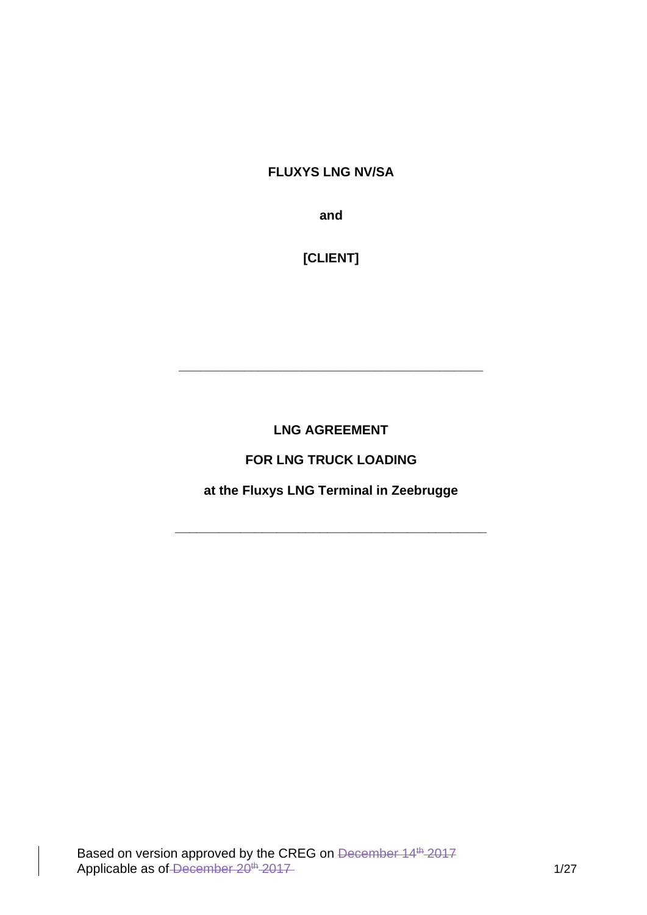#### **FLUXYS LNG NV/SA**

**and** 

**[CLIENT]**

**LNG AGREEMENT** 

**\_\_\_\_\_\_\_\_\_\_\_\_\_\_\_\_\_\_\_\_\_\_\_\_\_\_\_\_\_\_\_\_\_\_\_\_\_\_\_\_\_\_**

**FOR LNG TRUCK LOADING** 

**at the Fluxys LNG Terminal in Zeebrugge**

**\_\_\_\_\_\_\_\_\_\_\_\_\_\_\_\_\_\_\_\_\_\_\_\_\_\_\_\_\_\_\_\_\_\_\_\_\_\_\_\_\_\_\_**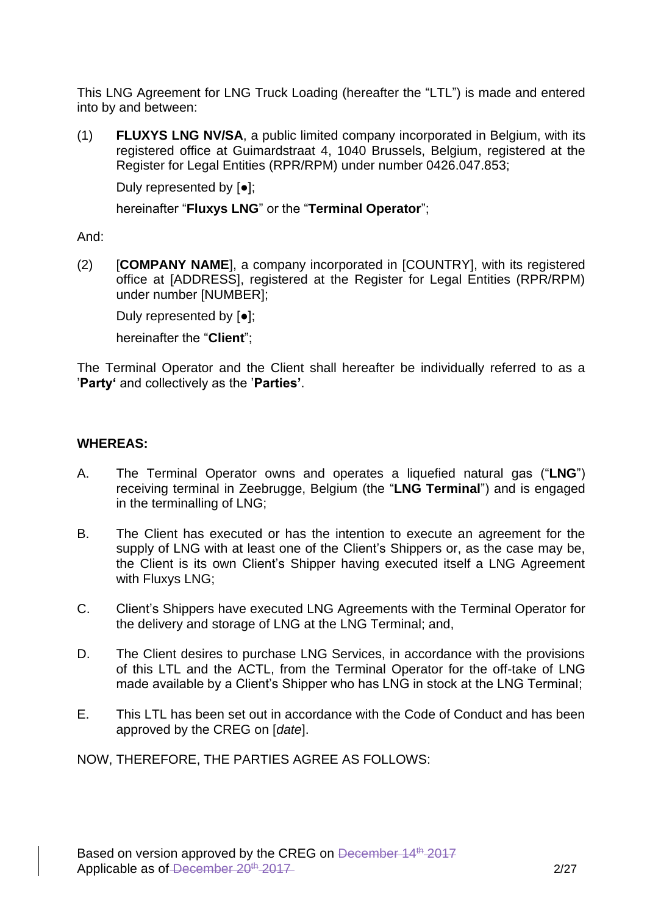This LNG Agreement for LNG Truck Loading (hereafter the "LTL") is made and entered into by and between:

(1) **FLUXYS LNG NV/SA**, a public limited company incorporated in Belgium, with its registered office at Guimardstraat 4, 1040 Brussels, Belgium, registered at the Register for Legal Entities (RPR/RPM) under number 0426.047.853;

Duly represented by [●];

hereinafter "**Fluxys LNG**" or the "**Terminal Operator**";

And:

(2) [**COMPANY NAME**], a company incorporated in [COUNTRY], with its registered office at [ADDRESS], registered at the Register for Legal Entities (RPR/RPM) under number [NUMBER];

Duly represented by [●];

hereinafter the "**Client**";

The Terminal Operator and the Client shall hereafter be individually referred to as a '**Party'** and collectively as the '**Parties'**.

#### **WHEREAS:**

- A. The Terminal Operator owns and operates a liquefied natural gas ("**LNG**") receiving terminal in Zeebrugge, Belgium (the "**LNG Terminal**") and is engaged in the terminalling of LNG;
- B. The Client has executed or has the intention to execute an agreement for the supply of LNG with at least one of the Client's Shippers or, as the case may be, the Client is its own Client's Shipper having executed itself a LNG Agreement with Fluxys LNG;
- C. Client's Shippers have executed LNG Agreements with the Terminal Operator for the delivery and storage of LNG at the LNG Terminal; and,
- D. The Client desires to purchase LNG Services, in accordance with the provisions of this LTL and the ACTL, from the Terminal Operator for the off-take of LNG made available by a Client's Shipper who has LNG in stock at the LNG Terminal;
- E. This LTL has been set out in accordance with the Code of Conduct and has been approved by the CREG on [*date*].

NOW, THEREFORE, THE PARTIES AGREE AS FOLLOWS: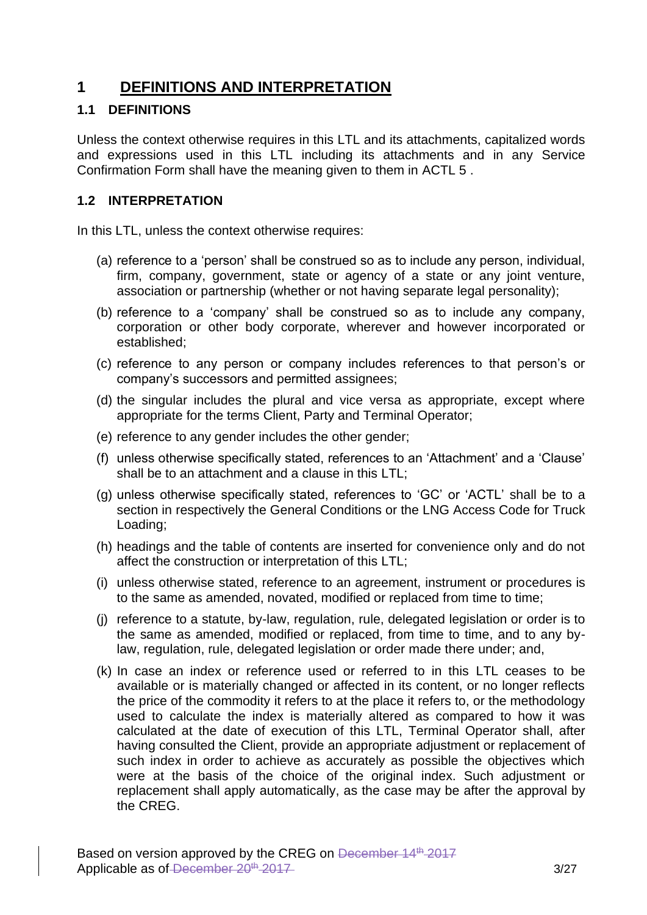## **1 DEFINITIONS AND INTERPRETATION**

#### **1.1 DEFINITIONS**

Unless the context otherwise requires in this LTL and its attachments, capitalized words and expressions used in this LTL including its attachments and in any Service Confirmation Form shall have the meaning given to them in ACTL 5 .

### **1.2 INTERPRETATION**

In this LTL, unless the context otherwise requires:

- (a) reference to a 'person' shall be construed so as to include any person, individual, firm, company, government, state or agency of a state or any joint venture, association or partnership (whether or not having separate legal personality);
- (b) reference to a 'company' shall be construed so as to include any company, corporation or other body corporate, wherever and however incorporated or established;
- (c) reference to any person or company includes references to that person's or company's successors and permitted assignees;
- (d) the singular includes the plural and vice versa as appropriate, except where appropriate for the terms Client, Party and Terminal Operator;
- (e) reference to any gender includes the other gender;
- (f) unless otherwise specifically stated, references to an 'Attachment' and a 'Clause' shall be to an attachment and a clause in this LTL;
- (g) unless otherwise specifically stated, references to 'GC' or 'ACTL' shall be to a section in respectively the General Conditions or the LNG Access Code for Truck Loading;
- (h) headings and the table of contents are inserted for convenience only and do not affect the construction or interpretation of this LTL;
- (i) unless otherwise stated, reference to an agreement, instrument or procedures is to the same as amended, novated, modified or replaced from time to time;
- (j) reference to a statute, by-law, regulation, rule, delegated legislation or order is to the same as amended, modified or replaced, from time to time, and to any bylaw, regulation, rule, delegated legislation or order made there under; and,
- (k) In case an index or reference used or referred to in this LTL ceases to be available or is materially changed or affected in its content, or no longer reflects the price of the commodity it refers to at the place it refers to, or the methodology used to calculate the index is materially altered as compared to how it was calculated at the date of execution of this LTL, Terminal Operator shall, after having consulted the Client, provide an appropriate adjustment or replacement of such index in order to achieve as accurately as possible the objectives which were at the basis of the choice of the original index. Such adjustment or replacement shall apply automatically, as the case may be after the approval by the CREG.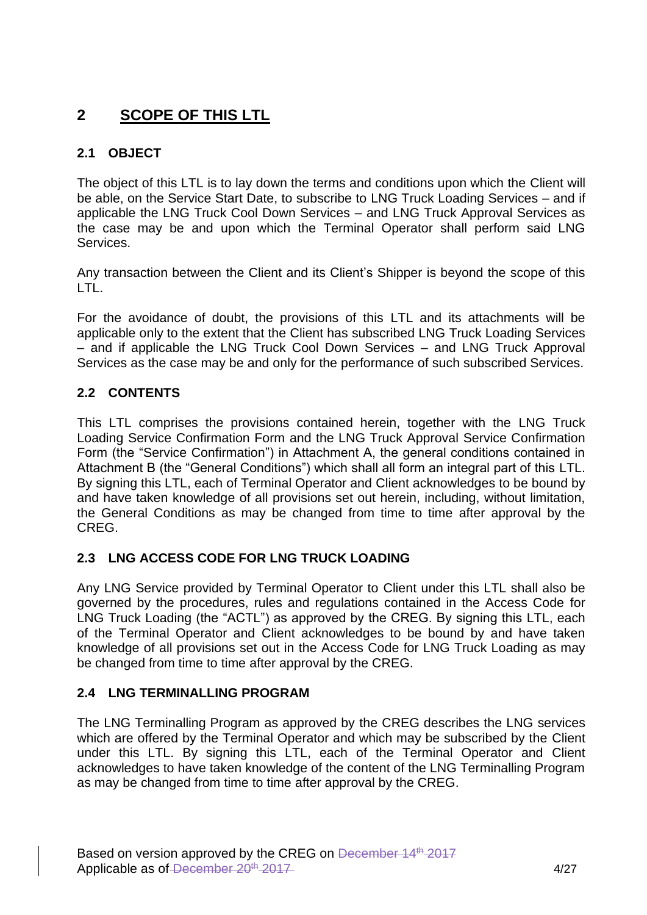# **2 SCOPE OF THIS LTL**

### **2.1 OBJECT**

The object of this LTL is to lay down the terms and conditions upon which the Client will be able, on the Service Start Date, to subscribe to LNG Truck Loading Services – and if applicable the LNG Truck Cool Down Services – and LNG Truck Approval Services as the case may be and upon which the Terminal Operator shall perform said LNG Services.

Any transaction between the Client and its Client's Shipper is beyond the scope of this LTL.

For the avoidance of doubt, the provisions of this LTL and its attachments will be applicable only to the extent that the Client has subscribed LNG Truck Loading Services – and if applicable the LNG Truck Cool Down Services – and LNG Truck Approval Services as the case may be and only for the performance of such subscribed Services.

### **2.2 CONTENTS**

This LTL comprises the provisions contained herein, together with the LNG Truck Loading Service Confirmation Form and the LNG Truck Approval Service Confirmation Form (the "Service Confirmation") in Attachment A, the general conditions contained in Attachment B (the "General Conditions") which shall all form an integral part of this LTL. By signing this LTL, each of Terminal Operator and Client acknowledges to be bound by and have taken knowledge of all provisions set out herein, including, without limitation, the General Conditions as may be changed from time to time after approval by the CREG.

### **2.3 LNG ACCESS CODE FOR LNG TRUCK LOADING**

Any LNG Service provided by Terminal Operator to Client under this LTL shall also be governed by the procedures, rules and regulations contained in the Access Code for LNG Truck Loading (the "ACTL") as approved by the CREG. By signing this LTL, each of the Terminal Operator and Client acknowledges to be bound by and have taken knowledge of all provisions set out in the Access Code for LNG Truck Loading as may be changed from time to time after approval by the CREG.

#### **2.4 LNG TERMINALLING PROGRAM**

The LNG Terminalling Program as approved by the CREG describes the LNG services which are offered by the Terminal Operator and which may be subscribed by the Client under this LTL. By signing this LTL, each of the Terminal Operator and Client acknowledges to have taken knowledge of the content of the LNG Terminalling Program as may be changed from time to time after approval by the CREG.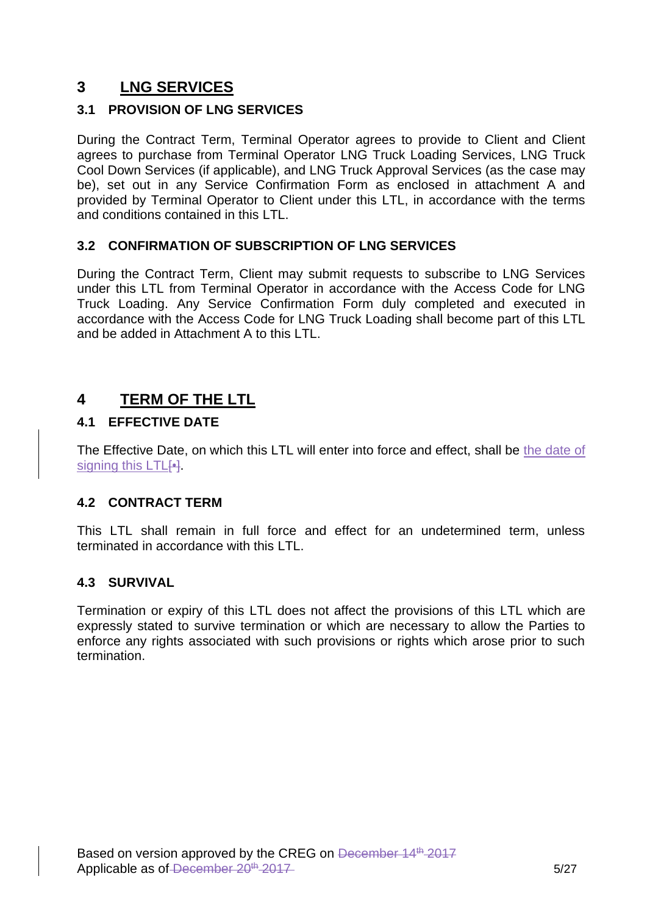# **3 LNG SERVICES**

### **3.1 PROVISION OF LNG SERVICES**

During the Contract Term, Terminal Operator agrees to provide to Client and Client agrees to purchase from Terminal Operator LNG Truck Loading Services, LNG Truck Cool Down Services (if applicable), and LNG Truck Approval Services (as the case may be), set out in any Service Confirmation Form as enclosed in attachment A and provided by Terminal Operator to Client under this LTL, in accordance with the terms and conditions contained in this LTL.

### **3.2 CONFIRMATION OF SUBSCRIPTION OF LNG SERVICES**

During the Contract Term, Client may submit requests to subscribe to LNG Services under this LTL from Terminal Operator in accordance with the Access Code for LNG Truck Loading. Any Service Confirmation Form duly completed and executed in accordance with the Access Code for LNG Truck Loading shall become part of this LTL and be added in Attachment A to this LTL.

# **4 TERM OF THE LTL**

### **4.1 EFFECTIVE DATE**

The Effective Date, on which this LTL will enter into force and effect, shall be the date of signing this LTL[•]

#### **4.2 CONTRACT TERM**

This LTL shall remain in full force and effect for an undetermined term, unless terminated in accordance with this LTL.

#### **4.3 SURVIVAL**

Termination or expiry of this LTL does not affect the provisions of this LTL which are expressly stated to survive termination or which are necessary to allow the Parties to enforce any rights associated with such provisions or rights which arose prior to such termination.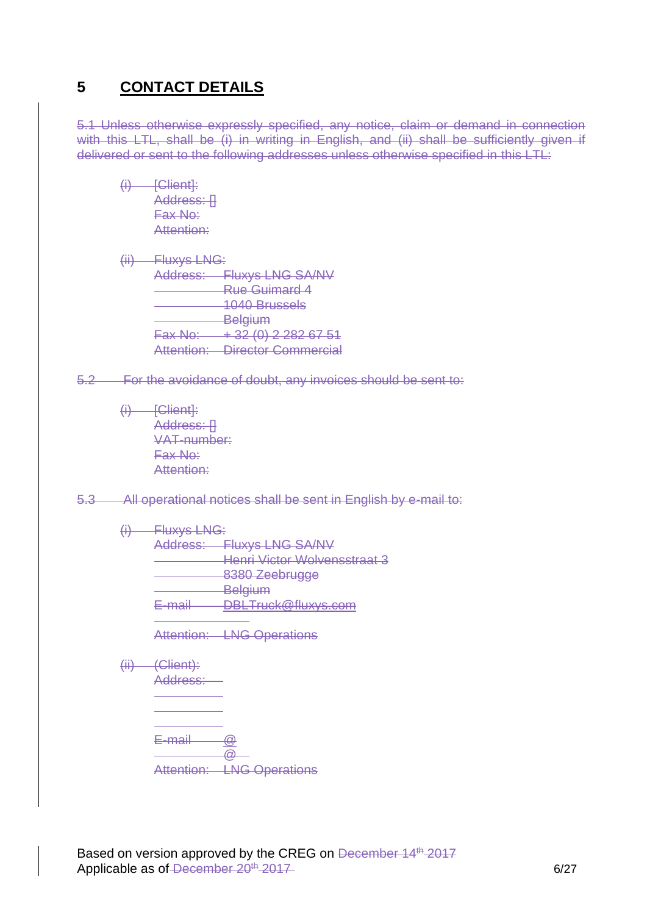## **5 CONTACT DETAILS**

5.1 Unless otherwise expressly specified, any notice, claim or demand in connection with this LTL, shall be (i) in writing in English, and (ii) shall be sufficiently given if delivered or sent to the following addresses unless otherwise specified in this LTL:

 $(i)$  [Client]: Address: II Fax No: Attention:

- (ii) Fluxys LNG: Address: Fluxys LNG SA/NV Rue Guimard 4 1040 Brussels **Belgium**  $Fax No: + 32 (0) 2 282 67 51$ Attention: Director Commercial
- 5.2 For the avoidance of doubt, any invoices should be sent to:
	- $(i)$  [Client]: Address: [] VAT-number: Fax No: Attention:

5.3 All operational notices shall be sent in English by e-mail to:

(i) Fluxys LNG: Address: Fluxys LNG SA/NV Henri Victor Wolvensstraat 3 8380 Zeebrugge **Belgium** E-mail DBLTruck@fluxys.com

Attention: **LNG Operations** 

 $(iii)$  (Client): Address:  $E$ -mail  $\qquad \qquad \textcircled{a}$  $\omega$ Attention: LNG Operations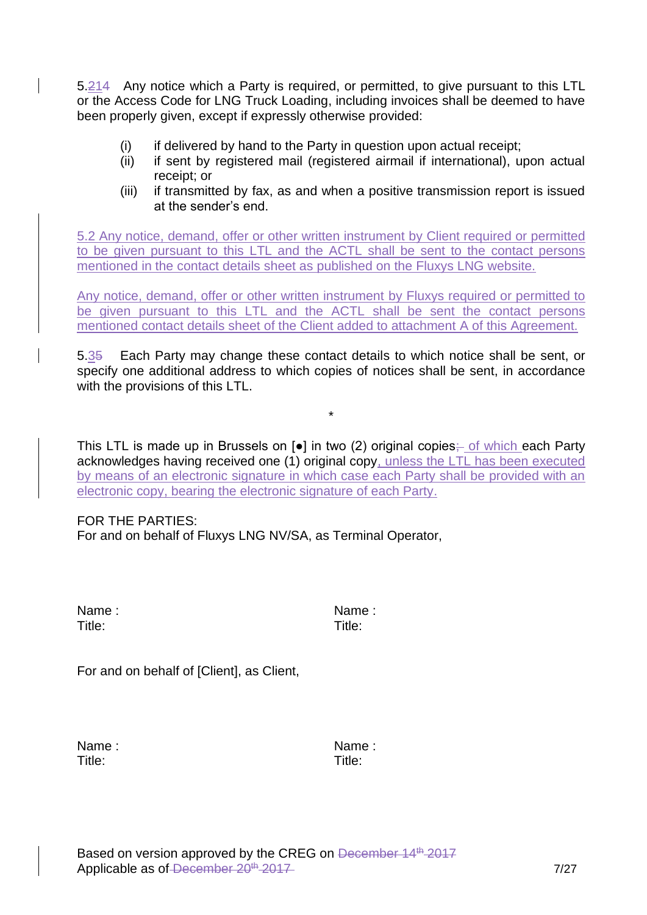5.214 Any notice which a Party is required, or permitted, to give pursuant to this LTL or the Access Code for LNG Truck Loading, including invoices shall be deemed to have been properly given, except if expressly otherwise provided:

- (i) if delivered by hand to the Party in question upon actual receipt;
- (ii) if sent by registered mail (registered airmail if international), upon actual receipt; or
- (iii) if transmitted by fax, as and when a positive transmission report is issued at the sender's end.

5.2 Any notice, demand, offer or other written instrument by Client required or permitted to be given pursuant to this LTL and the ACTL shall be sent to the contact persons mentioned in the contact details sheet as published on the Fluxys LNG website.

Any notice, demand, offer or other written instrument by Fluxys required or permitted to be given pursuant to this LTL and the ACTL shall be sent the contact persons mentioned contact details sheet of the Client added to attachment A of this Agreement.

5.35 Each Party may change these contact details to which notice shall be sent, or specify one additional address to which copies of notices shall be sent, in accordance with the provisions of this LTL.

\*

This LTL is made up in Brussels on  $[e]$  in two (2) original copies; of which each Party acknowledges having received one (1) original copy, unless the LTL has been executed by means of an electronic signature in which case each Party shall be provided with an electronic copy, bearing the electronic signature of each Party.

FOR THE PARTIES: For and on behalf of Fluxys LNG NV/SA, as Terminal Operator,

| Name:  | Name   |
|--------|--------|
| Title: | Title: |

Name : Name :

For and on behalf of [Client], as Client,

Name : Name : Name : Name : Name : Name : Name : Name : Name : Name : Name : Name : Name : Name : Name : Name :  $\sim$ Title: Title: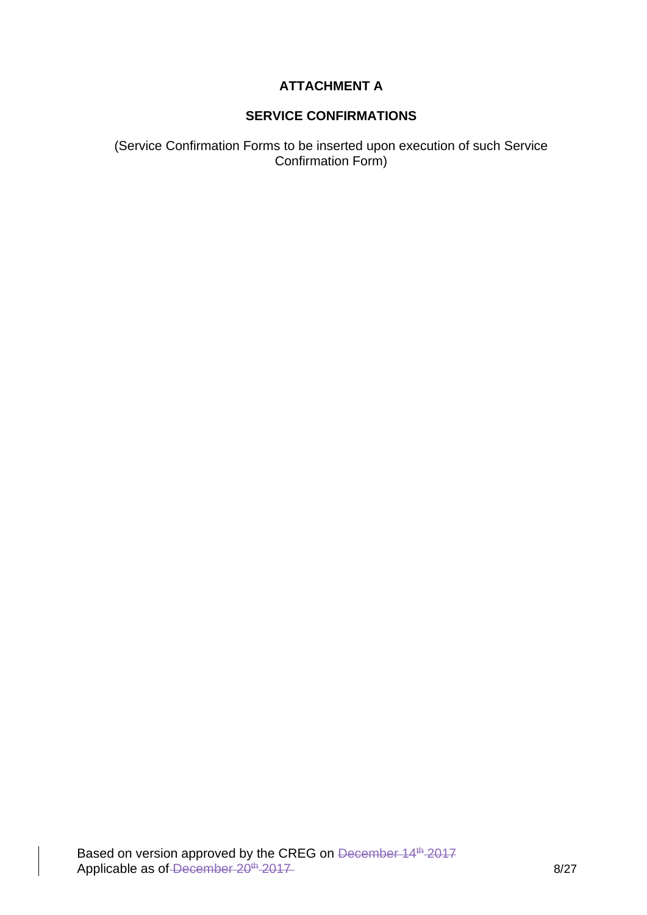### **ATTACHMENT A**

### **SERVICE CONFIRMATIONS**

(Service Confirmation Forms to be inserted upon execution of such Service Confirmation Form)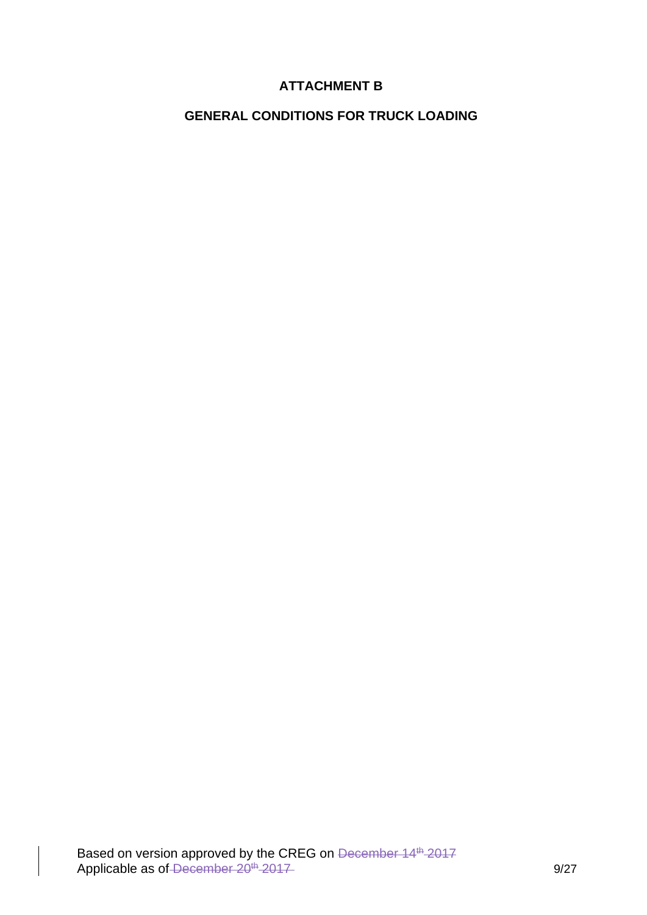### **ATTACHMENT B**

### **GENERAL CONDITIONS FOR TRUCK LOADING**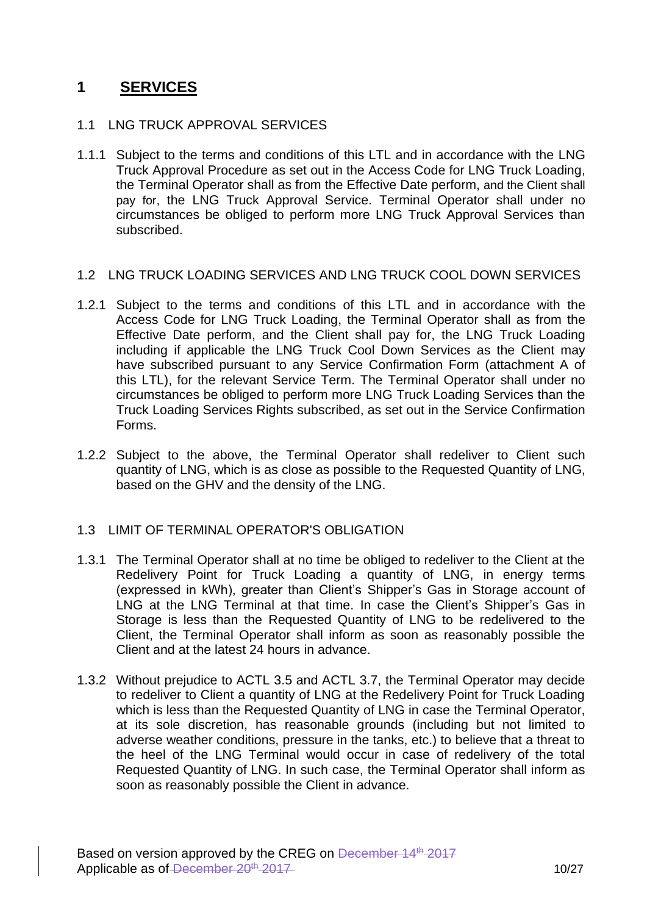# **1 SERVICES**

#### 1.1 LNG TRUCK APPROVAL SERVICES

1.1.1 Subject to the terms and conditions of this LTL and in accordance with the LNG Truck Approval Procedure as set out in the Access Code for LNG Truck Loading, the Terminal Operator shall as from the Effective Date perform, and the Client shall pay for, the LNG Truck Approval Service. Terminal Operator shall under no circumstances be obliged to perform more LNG Truck Approval Services than subscribed.

#### 1.2 LNG TRUCK LOADING SERVICES AND LNG TRUCK COOL DOWN SERVICES

- 1.2.1 Subject to the terms and conditions of this LTL and in accordance with the Access Code for LNG Truck Loading, the Terminal Operator shall as from the Effective Date perform, and the Client shall pay for, the LNG Truck Loading including if applicable the LNG Truck Cool Down Services as the Client may have subscribed pursuant to any Service Confirmation Form (attachment A of this LTL), for the relevant Service Term. The Terminal Operator shall under no circumstances be obliged to perform more LNG Truck Loading Services than the Truck Loading Services Rights subscribed, as set out in the Service Confirmation Forms.
- 1.2.2 Subject to the above, the Terminal Operator shall redeliver to Client such quantity of LNG, which is as close as possible to the Requested Quantity of LNG, based on the GHV and the density of the LNG.

#### 1.3 LIMIT OF TERMINAL OPERATOR'S OBLIGATION

- 1.3.1 The Terminal Operator shall at no time be obliged to redeliver to the Client at the Redelivery Point for Truck Loading a quantity of LNG, in energy terms (expressed in kWh), greater than Client's Shipper's Gas in Storage account of LNG at the LNG Terminal at that time. In case the Client's Shipper's Gas in Storage is less than the Requested Quantity of LNG to be redelivered to the Client, the Terminal Operator shall inform as soon as reasonably possible the Client and at the latest 24 hours in advance.
- 1.3.2 Without prejudice to ACTL 3.5 and ACTL 3.7, the Terminal Operator may decide to redeliver to Client a quantity of LNG at the Redelivery Point for Truck Loading which is less than the Requested Quantity of LNG in case the Terminal Operator, at its sole discretion, has reasonable grounds (including but not limited to adverse weather conditions, pressure in the tanks, etc.) to believe that a threat to the heel of the LNG Terminal would occur in case of redelivery of the total Requested Quantity of LNG. In such case, the Terminal Operator shall inform as soon as reasonably possible the Client in advance.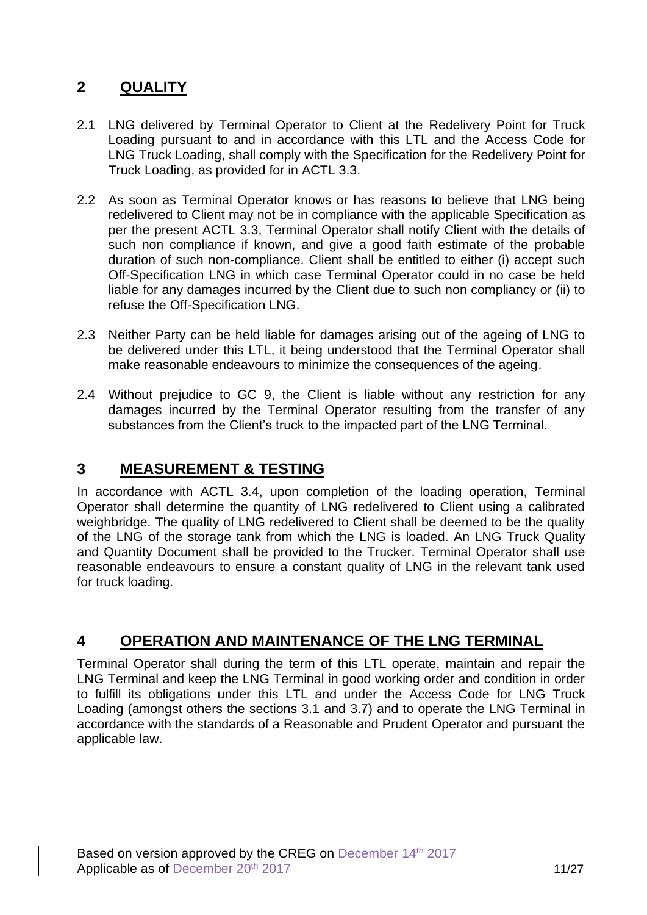# **2 QUALITY**

- 2.1 LNG delivered by Terminal Operator to Client at the Redelivery Point for Truck Loading pursuant to and in accordance with this LTL and the Access Code for LNG Truck Loading, shall comply with the Specification for the Redelivery Point for Truck Loading, as provided for in ACTL 3.3.
- 2.2 As soon as Terminal Operator knows or has reasons to believe that LNG being redelivered to Client may not be in compliance with the applicable Specification as per the present ACTL 3.3, Terminal Operator shall notify Client with the details of such non compliance if known, and give a good faith estimate of the probable duration of such non-compliance. Client shall be entitled to either (i) accept such Off-Specification LNG in which case Terminal Operator could in no case be held liable for any damages incurred by the Client due to such non compliancy or (ii) to refuse the Off-Specification LNG.
- 2.3 Neither Party can be held liable for damages arising out of the ageing of LNG to be delivered under this LTL, it being understood that the Terminal Operator shall make reasonable endeavours to minimize the consequences of the ageing.
- 2.4 Without prejudice to GC 9, the Client is liable without any restriction for any damages incurred by the Terminal Operator resulting from the transfer of any substances from the Client's truck to the impacted part of the LNG Terminal.

## **3 MEASUREMENT & TESTING**

In accordance with ACTL 3.4, upon completion of the loading operation, Terminal Operator shall determine the quantity of LNG redelivered to Client using a calibrated weighbridge. The quality of LNG redelivered to Client shall be deemed to be the quality of the LNG of the storage tank from which the LNG is loaded. An LNG Truck Quality and Quantity Document shall be provided to the Trucker. Terminal Operator shall use reasonable endeavours to ensure a constant quality of LNG in the relevant tank used for truck loading.

## **4 OPERATION AND MAINTENANCE OF THE LNG TERMINAL**

Terminal Operator shall during the term of this LTL operate, maintain and repair the LNG Terminal and keep the LNG Terminal in good working order and condition in order to fulfill its obligations under this LTL and under the Access Code for LNG Truck Loading (amongst others the sections 3.1 and 3.7) and to operate the LNG Terminal in accordance with the standards of a Reasonable and Prudent Operator and pursuant the applicable law.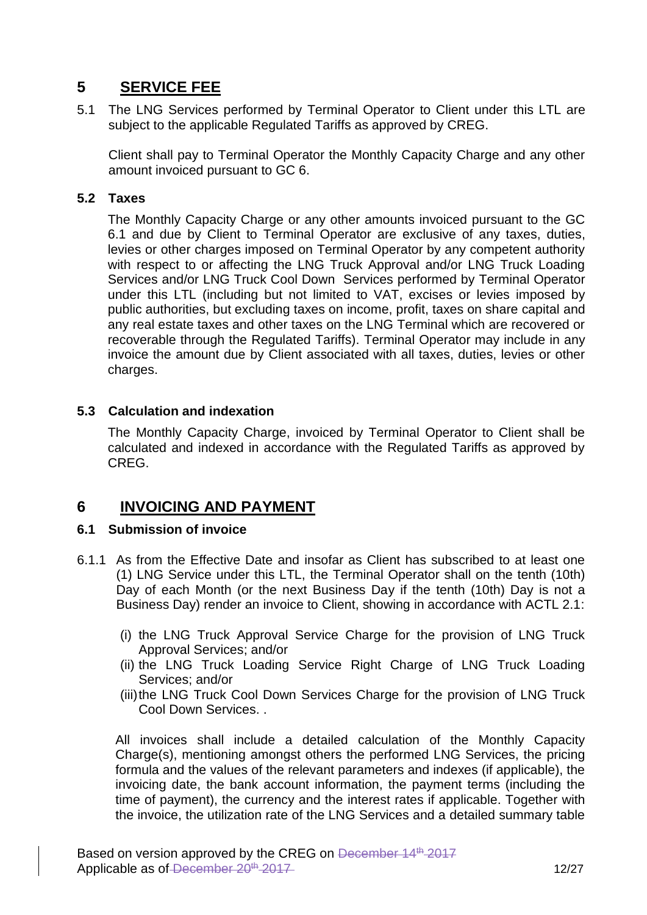# **5 SERVICE FEE**

5.1 The LNG Services performed by Terminal Operator to Client under this LTL are subject to the applicable Regulated Tariffs as approved by CREG.

Client shall pay to Terminal Operator the Monthly Capacity Charge and any other amount invoiced pursuant to GC 6.

#### **5.2 Taxes**

The Monthly Capacity Charge or any other amounts invoiced pursuant to the GC 6.1 and due by Client to Terminal Operator are exclusive of any taxes, duties, levies or other charges imposed on Terminal Operator by any competent authority with respect to or affecting the LNG Truck Approval and/or LNG Truck Loading Services and/or LNG Truck Cool Down Services performed by Terminal Operator under this LTL (including but not limited to VAT, excises or levies imposed by public authorities, but excluding taxes on income, profit, taxes on share capital and any real estate taxes and other taxes on the LNG Terminal which are recovered or recoverable through the Regulated Tariffs). Terminal Operator may include in any invoice the amount due by Client associated with all taxes, duties, levies or other charges.

#### **5.3 Calculation and indexation**

The Monthly Capacity Charge, invoiced by Terminal Operator to Client shall be calculated and indexed in accordance with the Regulated Tariffs as approved by CREG.

## **6 INVOICING AND PAYMENT**

#### **6.1 Submission of invoice**

- 6.1.1 As from the Effective Date and insofar as Client has subscribed to at least one (1) LNG Service under this LTL, the Terminal Operator shall on the tenth (10th) Day of each Month (or the next Business Day if the tenth (10th) Day is not a Business Day) render an invoice to Client, showing in accordance with ACTL 2.1:
	- (i) the LNG Truck Approval Service Charge for the provision of LNG Truck Approval Services; and/or
	- (ii) the LNG Truck Loading Service Right Charge of LNG Truck Loading Services; and/or
	- (iii)the LNG Truck Cool Down Services Charge for the provision of LNG Truck Cool Down Services. .

All invoices shall include a detailed calculation of the Monthly Capacity Charge(s), mentioning amongst others the performed LNG Services, the pricing formula and the values of the relevant parameters and indexes (if applicable), the invoicing date, the bank account information, the payment terms (including the time of payment), the currency and the interest rates if applicable. Together with the invoice, the utilization rate of the LNG Services and a detailed summary table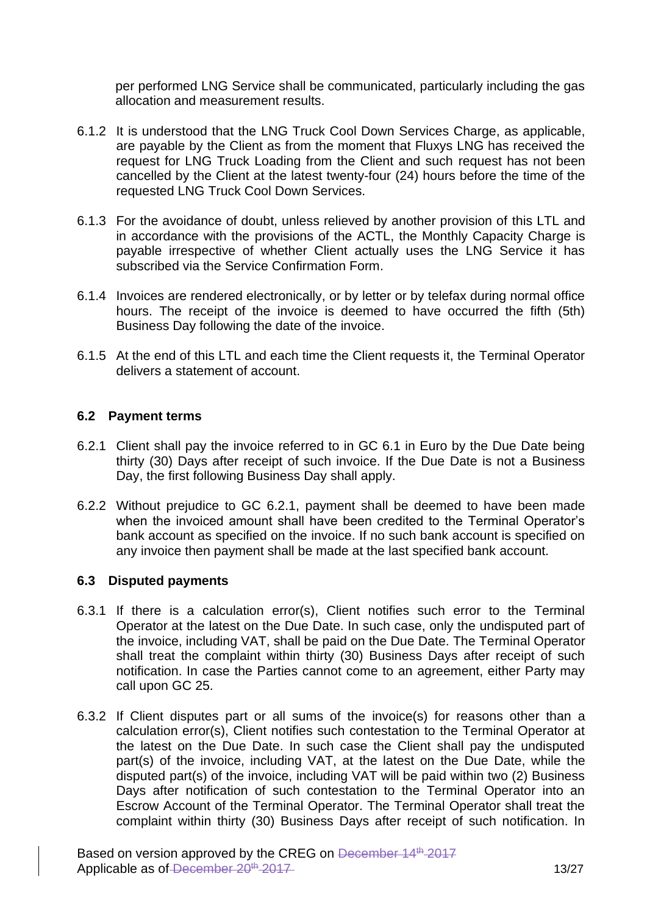per performed LNG Service shall be communicated, particularly including the gas allocation and measurement results.

- 6.1.2 It is understood that the LNG Truck Cool Down Services Charge, as applicable, are payable by the Client as from the moment that Fluxys LNG has received the request for LNG Truck Loading from the Client and such request has not been cancelled by the Client at the latest twenty-four (24) hours before the time of the requested LNG Truck Cool Down Services.
- 6.1.3 For the avoidance of doubt, unless relieved by another provision of this LTL and in accordance with the provisions of the ACTL, the Monthly Capacity Charge is payable irrespective of whether Client actually uses the LNG Service it has subscribed via the Service Confirmation Form.
- 6.1.4 Invoices are rendered electronically, or by letter or by telefax during normal office hours. The receipt of the invoice is deemed to have occurred the fifth (5th) Business Day following the date of the invoice.
- 6.1.5 At the end of this LTL and each time the Client requests it, the Terminal Operator delivers a statement of account.

#### **6.2 Payment terms**

- 6.2.1 Client shall pay the invoice referred to in GC 6.1 in Euro by the Due Date being thirty (30) Days after receipt of such invoice. If the Due Date is not a Business Day, the first following Business Day shall apply.
- 6.2.2 Without prejudice to GC 6.2.1, payment shall be deemed to have been made when the invoiced amount shall have been credited to the Terminal Operator's bank account as specified on the invoice. If no such bank account is specified on any invoice then payment shall be made at the last specified bank account.

#### **6.3 Disputed payments**

- 6.3.1 If there is a calculation error(s), Client notifies such error to the Terminal Operator at the latest on the Due Date. In such case, only the undisputed part of the invoice, including VAT, shall be paid on the Due Date. The Terminal Operator shall treat the complaint within thirty (30) Business Days after receipt of such notification. In case the Parties cannot come to an agreement, either Party may call upon GC 25.
- 6.3.2 If Client disputes part or all sums of the invoice(s) for reasons other than a calculation error(s), Client notifies such contestation to the Terminal Operator at the latest on the Due Date. In such case the Client shall pay the undisputed part(s) of the invoice, including VAT, at the latest on the Due Date, while the disputed part(s) of the invoice, including VAT will be paid within two (2) Business Days after notification of such contestation to the Terminal Operator into an Escrow Account of the Terminal Operator. The Terminal Operator shall treat the complaint within thirty (30) Business Days after receipt of such notification. In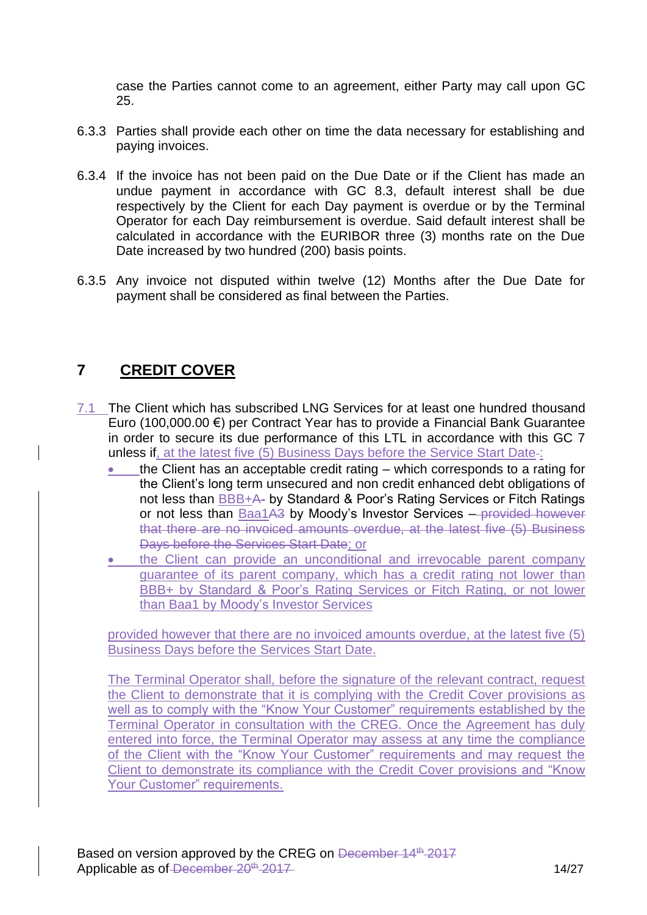case the Parties cannot come to an agreement, either Party may call upon GC 25.

- 6.3.3 Parties shall provide each other on time the data necessary for establishing and paying invoices.
- 6.3.4 If the invoice has not been paid on the Due Date or if the Client has made an undue payment in accordance with GC 8.3, default interest shall be due respectively by the Client for each Day payment is overdue or by the Terminal Operator for each Day reimbursement is overdue. Said default interest shall be calculated in accordance with the EURIBOR three (3) months rate on the Due Date increased by two hundred (200) basis points.
- 6.3.5 Any invoice not disputed within twelve (12) Months after the Due Date for payment shall be considered as final between the Parties.

## **7 CREDIT COVER**

- 7.1 The Client which has subscribed LNG Services for at least one hundred thousand Euro (100,000.00 €) per Contract Year has to provide a Financial Bank Guarantee in order to secure its due performance of this LTL in accordance with this GC 7 unless if, at the latest five (5) Business Days before the Service Start Date-:
	- the Client has an acceptable credit rating  $-$  which corresponds to a rating for the Client's long term unsecured and non credit enhanced debt obligations of not less than BBB+A- by Standard & Poor's Rating Services or Fitch Ratings or not less than Baa1A3 by Moody's Investor Services - provided however that there are no invoiced amounts overdue, at the latest five (5) Business Days before the Services Start Date; or
	- the Client can provide an unconditional and irrevocable parent company guarantee of its parent company, which has a credit rating not lower than BBB+ by Standard & Poor's Rating Services or Fitch Rating, or not lower than Baa1 by Moody's Investor Services

provided however that there are no invoiced amounts overdue, at the latest five (5) Business Days before the Services Start Date.

The Terminal Operator shall, before the signature of the relevant contract, request the Client to demonstrate that it is complying with the Credit Cover provisions as well as to comply with the "Know Your Customer" requirements established by the Terminal Operator in consultation with the CREG. Once the Agreement has duly entered into force, the Terminal Operator may assess at any time the compliance of the Client with the "Know Your Customer" requirements and may request the Client to demonstrate its compliance with the Credit Cover provisions and "Know Your Customer" requirements.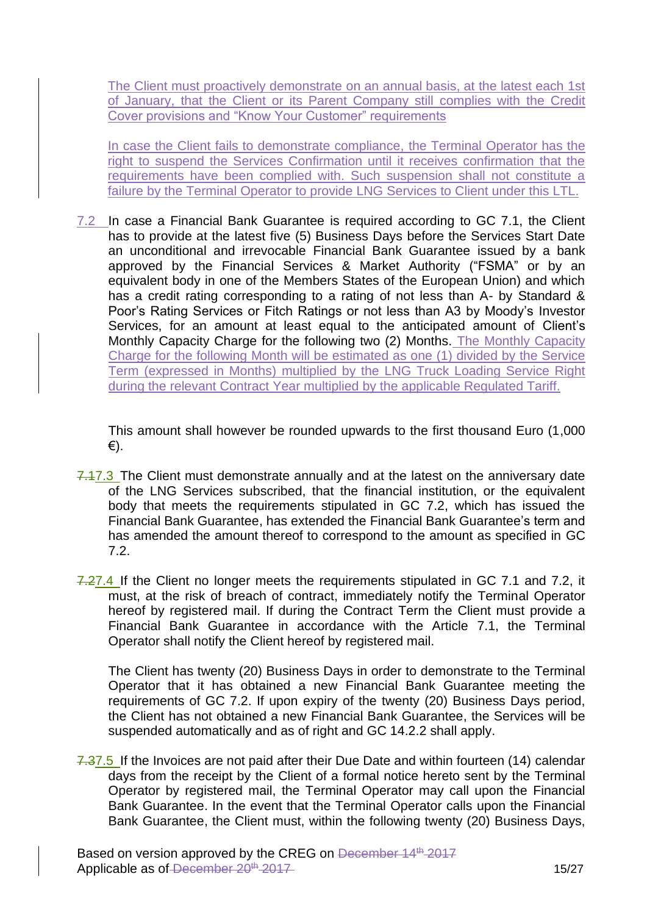The Client must proactively demonstrate on an annual basis, at the latest each 1st of January, that the Client or its Parent Company still complies with the Credit Cover provisions and "Know Your Customer" requirements

In case the Client fails to demonstrate compliance, the Terminal Operator has the right to suspend the Services Confirmation until it receives confirmation that the requirements have been complied with. Such suspension shall not constitute a failure by the Terminal Operator to provide LNG Services to Client under this LTL.

7.2 In case a Financial Bank Guarantee is required according to GC 7.1, the Client has to provide at the latest five (5) Business Days before the Services Start Date an unconditional and irrevocable Financial Bank Guarantee issued by a bank approved by the Financial Services & Market Authority ("FSMA" or by an equivalent body in one of the Members States of the European Union) and which has a credit rating corresponding to a rating of not less than A- by Standard & Poor's Rating Services or Fitch Ratings or not less than A3 by Moody's Investor Services, for an amount at least equal to the anticipated amount of Client's Monthly Capacity Charge for the following two (2) Months. The Monthly Capacity Charge for the following Month will be estimated as one (1) divided by the Service Term (expressed in Months) multiplied by the LNG Truck Loading Service Right during the relevant Contract Year multiplied by the applicable Regulated Tariff.

This amount shall however be rounded upwards to the first thousand Euro (1,000 €).

- 7.17.3 The Client must demonstrate annually and at the latest on the anniversary date of the LNG Services subscribed, that the financial institution, or the equivalent body that meets the requirements stipulated in GC 7.2, which has issued the Financial Bank Guarantee, has extended the Financial Bank Guarantee's term and has amended the amount thereof to correspond to the amount as specified in GC 7.2.
- 7.27.4 If the Client no longer meets the requirements stipulated in GC 7.1 and 7.2, it must, at the risk of breach of contract, immediately notify the Terminal Operator hereof by registered mail. If during the Contract Term the Client must provide a Financial Bank Guarantee in accordance with the Article 7.1, the Terminal Operator shall notify the Client hereof by registered mail.

The Client has twenty (20) Business Days in order to demonstrate to the Terminal Operator that it has obtained a new Financial Bank Guarantee meeting the requirements of GC 7.2. If upon expiry of the twenty (20) Business Days period, the Client has not obtained a new Financial Bank Guarantee, the Services will be suspended automatically and as of right and GC 14.2.2 shall apply.

7.37.5 If the Invoices are not paid after their Due Date and within fourteen (14) calendar days from the receipt by the Client of a formal notice hereto sent by the Terminal Operator by registered mail, the Terminal Operator may call upon the Financial Bank Guarantee. In the event that the Terminal Operator calls upon the Financial Bank Guarantee, the Client must, within the following twenty (20) Business Days,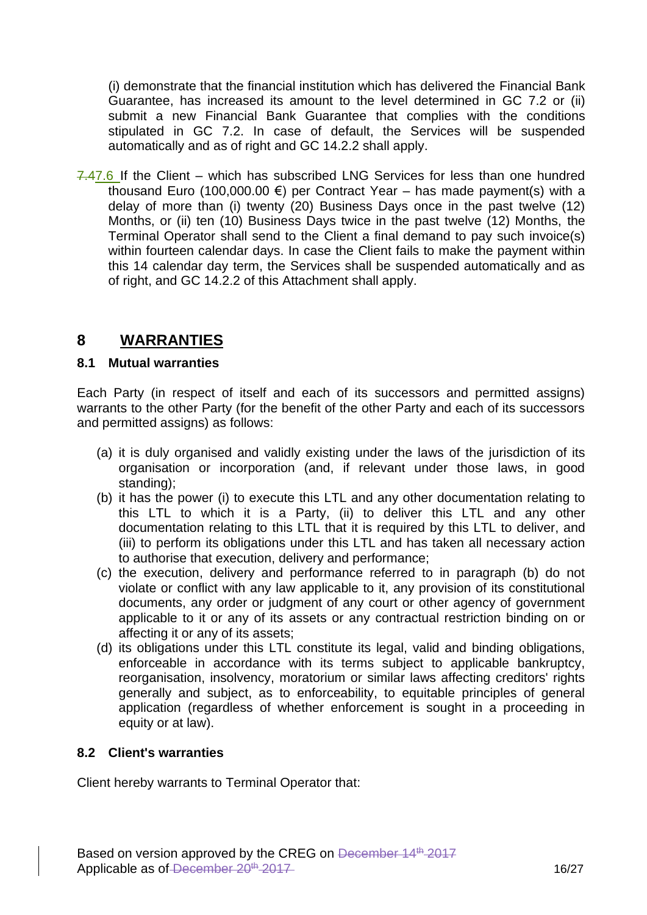(i) demonstrate that the financial institution which has delivered the Financial Bank Guarantee, has increased its amount to the level determined in GC 7.2 or (ii) submit a new Financial Bank Guarantee that complies with the conditions stipulated in GC 7.2. In case of default, the Services will be suspended automatically and as of right and GC 14.2.2 shall apply.

7.47.6 If the Client – which has subscribed LNG Services for less than one hundred thousand Euro (100,000.00  $\epsilon$ ) per Contract Year – has made payment(s) with a delay of more than (i) twenty (20) Business Days once in the past twelve (12) Months, or (ii) ten (10) Business Days twice in the past twelve (12) Months, the Terminal Operator shall send to the Client a final demand to pay such invoice(s) within fourteen calendar days. In case the Client fails to make the payment within this 14 calendar day term, the Services shall be suspended automatically and as of right, and GC 14.2.2 of this Attachment shall apply.

## **8 WARRANTIES**

#### **8.1 Mutual warranties**

Each Party (in respect of itself and each of its successors and permitted assigns) warrants to the other Party (for the benefit of the other Party and each of its successors and permitted assigns) as follows:

- (a) it is duly organised and validly existing under the laws of the jurisdiction of its organisation or incorporation (and, if relevant under those laws, in good standing);
- (b) it has the power (i) to execute this LTL and any other documentation relating to this LTL to which it is a Party, (ii) to deliver this LTL and any other documentation relating to this LTL that it is required by this LTL to deliver, and (iii) to perform its obligations under this LTL and has taken all necessary action to authorise that execution, delivery and performance;
- (c) the execution, delivery and performance referred to in paragraph (b) do not violate or conflict with any law applicable to it, any provision of its constitutional documents, any order or judgment of any court or other agency of government applicable to it or any of its assets or any contractual restriction binding on or affecting it or any of its assets;
- (d) its obligations under this LTL constitute its legal, valid and binding obligations, enforceable in accordance with its terms subject to applicable bankruptcy, reorganisation, insolvency, moratorium or similar laws affecting creditors' rights generally and subject, as to enforceability, to equitable principles of general application (regardless of whether enforcement is sought in a proceeding in equity or at law).

#### **8.2 Client's warranties**

Client hereby warrants to Terminal Operator that: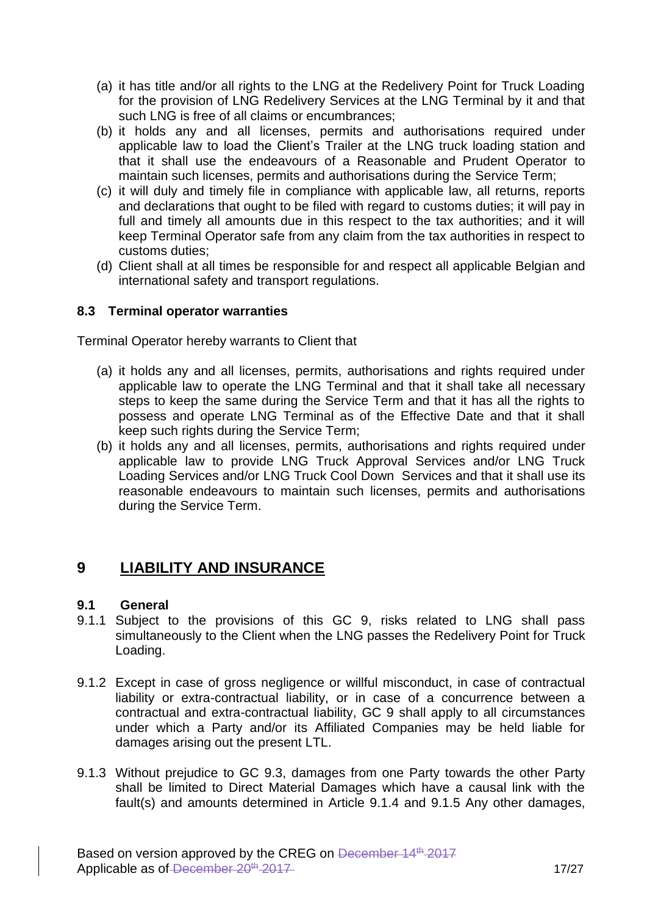- (a) it has title and/or all rights to the LNG at the Redelivery Point for Truck Loading for the provision of LNG Redelivery Services at the LNG Terminal by it and that such LNG is free of all claims or encumbrances;
- (b) it holds any and all licenses, permits and authorisations required under applicable law to load the Client's Trailer at the LNG truck loading station and that it shall use the endeavours of a Reasonable and Prudent Operator to maintain such licenses, permits and authorisations during the Service Term;
- (c) it will duly and timely file in compliance with applicable law, all returns, reports and declarations that ought to be filed with regard to customs duties; it will pay in full and timely all amounts due in this respect to the tax authorities; and it will keep Terminal Operator safe from any claim from the tax authorities in respect to customs duties;
- (d) Client shall at all times be responsible for and respect all applicable Belgian and international safety and transport regulations.

#### **8.3 Terminal operator warranties**

Terminal Operator hereby warrants to Client that

- (a) it holds any and all licenses, permits, authorisations and rights required under applicable law to operate the LNG Terminal and that it shall take all necessary steps to keep the same during the Service Term and that it has all the rights to possess and operate LNG Terminal as of the Effective Date and that it shall keep such rights during the Service Term;
- (b) it holds any and all licenses, permits, authorisations and rights required under applicable law to provide LNG Truck Approval Services and/or LNG Truck Loading Services and/or LNG Truck Cool Down Services and that it shall use its reasonable endeavours to maintain such licenses, permits and authorisations during the Service Term.

# **9 LIABILITY AND INSURANCE**

#### **9.1 General**

- 9.1.1 Subject to the provisions of this GC 9, risks related to LNG shall pass simultaneously to the Client when the LNG passes the Redelivery Point for Truck Loading.
- 9.1.2 Except in case of gross negligence or willful misconduct, in case of contractual liability or extra-contractual liability, or in case of a concurrence between a contractual and extra-contractual liability, GC 9 shall apply to all circumstances under which a Party and/or its Affiliated Companies may be held liable for damages arising out the present LTL.
- 9.1.3 Without prejudice to GC 9.3, damages from one Party towards the other Party shall be limited to Direct Material Damages which have a causal link with the fault(s) and amounts determined in Article 9.1.4 and 9.1.5 Any other damages,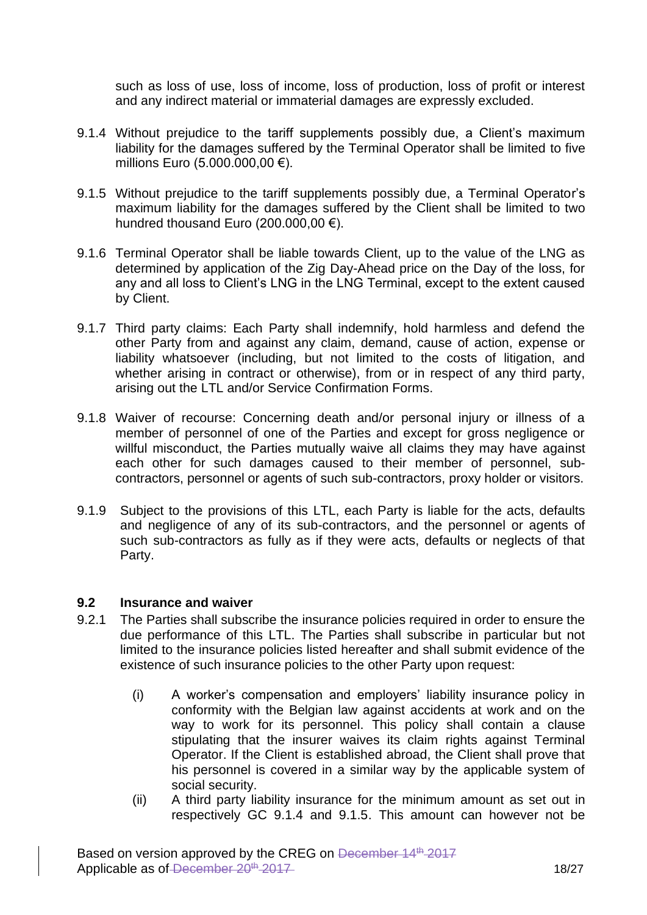such as loss of use, loss of income, loss of production, loss of profit or interest and any indirect material or immaterial damages are expressly excluded.

- 9.1.4 Without prejudice to the tariff supplements possibly due, a Client's maximum liability for the damages suffered by the Terminal Operator shall be limited to five millions Euro (5.000.000,00 €).
- 9.1.5 Without prejudice to the tariff supplements possibly due, a Terminal Operator's maximum liability for the damages suffered by the Client shall be limited to two hundred thousand Euro (200.000,00  $\epsilon$ ).
- 9.1.6 Terminal Operator shall be liable towards Client, up to the value of the LNG as determined by application of the Zig Day-Ahead price on the Day of the loss, for any and all loss to Client's LNG in the LNG Terminal, except to the extent caused by Client.
- 9.1.7 Third party claims: Each Party shall indemnify, hold harmless and defend the other Party from and against any claim, demand, cause of action, expense or liability whatsoever (including, but not limited to the costs of litigation, and whether arising in contract or otherwise), from or in respect of any third party, arising out the LTL and/or Service Confirmation Forms.
- 9.1.8 Waiver of recourse: Concerning death and/or personal injury or illness of a member of personnel of one of the Parties and except for gross negligence or willful misconduct, the Parties mutually waive all claims they may have against each other for such damages caused to their member of personnel, subcontractors, personnel or agents of such sub-contractors, proxy holder or visitors.
- 9.1.9 Subject to the provisions of this LTL, each Party is liable for the acts, defaults and negligence of any of its sub-contractors, and the personnel or agents of such sub-contractors as fully as if they were acts, defaults or neglects of that Party.

#### **9.2 Insurance and waiver**

- 9.2.1 The Parties shall subscribe the insurance policies required in order to ensure the due performance of this LTL. The Parties shall subscribe in particular but not limited to the insurance policies listed hereafter and shall submit evidence of the existence of such insurance policies to the other Party upon request:
	- (i) A worker's compensation and employers' liability insurance policy in conformity with the Belgian law against accidents at work and on the way to work for its personnel. This policy shall contain a clause stipulating that the insurer waives its claim rights against Terminal Operator. If the Client is established abroad, the Client shall prove that his personnel is covered in a similar way by the applicable system of social security.
	- (ii) A third party liability insurance for the minimum amount as set out in respectively GC 9.1.4 and 9.1.5. This amount can however not be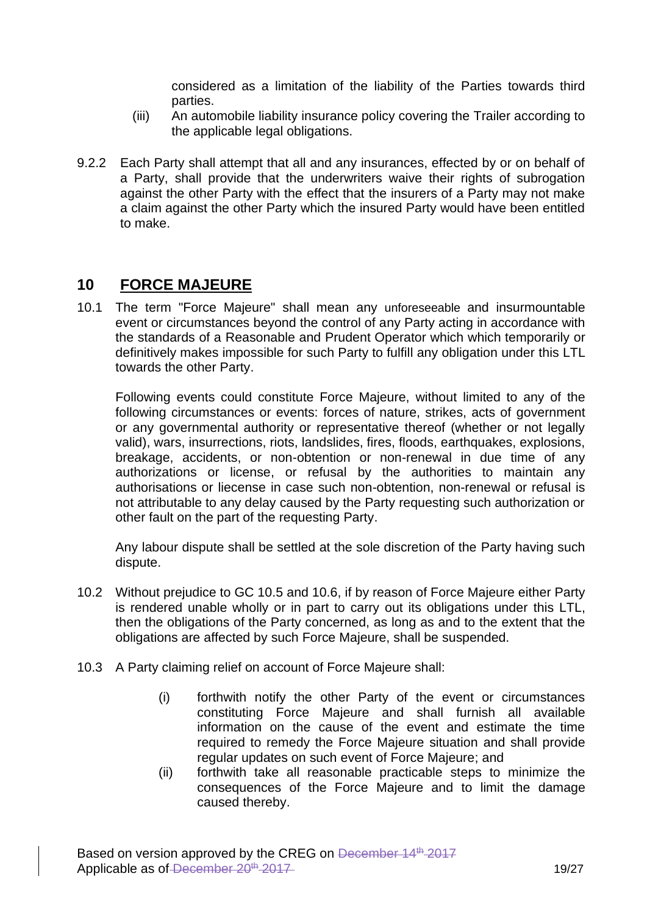considered as a limitation of the liability of the Parties towards third parties.

- (iii) An automobile liability insurance policy covering the Trailer according to the applicable legal obligations.
- 9.2.2 Each Party shall attempt that all and any insurances, effected by or on behalf of a Party, shall provide that the underwriters waive their rights of subrogation against the other Party with the effect that the insurers of a Party may not make a claim against the other Party which the insured Party would have been entitled to make.

## **10 FORCE MAJEURE**

10.1 The term "Force Majeure" shall mean any unforeseeable and insurmountable event or circumstances beyond the control of any Party acting in accordance with the standards of a Reasonable and Prudent Operator which which temporarily or definitively makes impossible for such Party to fulfill any obligation under this LTL towards the other Party.

Following events could constitute Force Majeure, without limited to any of the following circumstances or events: forces of nature, strikes, acts of government or any governmental authority or representative thereof (whether or not legally valid), wars, insurrections, riots, landslides, fires, floods, earthquakes, explosions, breakage, accidents, or non-obtention or non-renewal in due time of any authorizations or license, or refusal by the authorities to maintain any authorisations or liecense in case such non-obtention, non-renewal or refusal is not attributable to any delay caused by the Party requesting such authorization or other fault on the part of the requesting Party.

Any labour dispute shall be settled at the sole discretion of the Party having such dispute.

- 10.2 Without prejudice to GC 10.5 and 10.6, if by reason of Force Majeure either Party is rendered unable wholly or in part to carry out its obligations under this LTL, then the obligations of the Party concerned, as long as and to the extent that the obligations are affected by such Force Majeure, shall be suspended.
- 10.3 A Party claiming relief on account of Force Majeure shall:
	- (i) forthwith notify the other Party of the event or circumstances constituting Force Majeure and shall furnish all available information on the cause of the event and estimate the time required to remedy the Force Majeure situation and shall provide regular updates on such event of Force Majeure; and
	- (ii) forthwith take all reasonable practicable steps to minimize the consequences of the Force Majeure and to limit the damage caused thereby.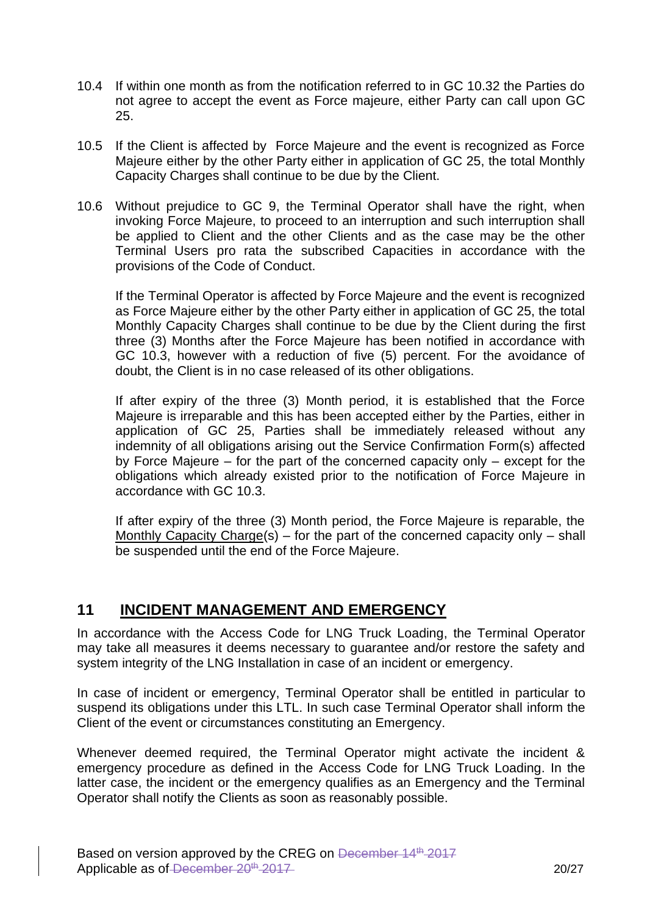- 10.4 If within one month as from the notification referred to in GC 10.32 the Parties do not agree to accept the event as Force majeure, either Party can call upon GC 25.
- 10.5 If the Client is affected by Force Majeure and the event is recognized as Force Majeure either by the other Party either in application of GC 25, the total Monthly Capacity Charges shall continue to be due by the Client.
- 10.6 Without prejudice to GC 9, the Terminal Operator shall have the right, when invoking Force Majeure, to proceed to an interruption and such interruption shall be applied to Client and the other Clients and as the case may be the other Terminal Users pro rata the subscribed Capacities in accordance with the provisions of the Code of Conduct.

If the Terminal Operator is affected by Force Majeure and the event is recognized as Force Majeure either by the other Party either in application of GC 25, the total Monthly Capacity Charges shall continue to be due by the Client during the first three (3) Months after the Force Majeure has been notified in accordance with GC 10.3, however with a reduction of five (5) percent. For the avoidance of doubt, the Client is in no case released of its other obligations.

If after expiry of the three (3) Month period, it is established that the Force Majeure is irreparable and this has been accepted either by the Parties, either in application of GC 25, Parties shall be immediately released without any indemnity of all obligations arising out the Service Confirmation Form(s) affected by Force Majeure – for the part of the concerned capacity only – except for the obligations which already existed prior to the notification of Force Majeure in accordance with GC 10.3.

If after expiry of the three (3) Month period, the Force Majeure is reparable, the Monthly Capacity Charge(s) – for the part of the concerned capacity only – shall be suspended until the end of the Force Majeure.

## **11 INCIDENT MANAGEMENT AND EMERGENCY**

In accordance with the Access Code for LNG Truck Loading, the Terminal Operator may take all measures it deems necessary to guarantee and/or restore the safety and system integrity of the LNG Installation in case of an incident or emergency.

In case of incident or emergency, Terminal Operator shall be entitled in particular to suspend its obligations under this LTL. In such case Terminal Operator shall inform the Client of the event or circumstances constituting an Emergency.

Whenever deemed required, the Terminal Operator might activate the incident & emergency procedure as defined in the Access Code for LNG Truck Loading. In the latter case, the incident or the emergency qualifies as an Emergency and the Terminal Operator shall notify the Clients as soon as reasonably possible.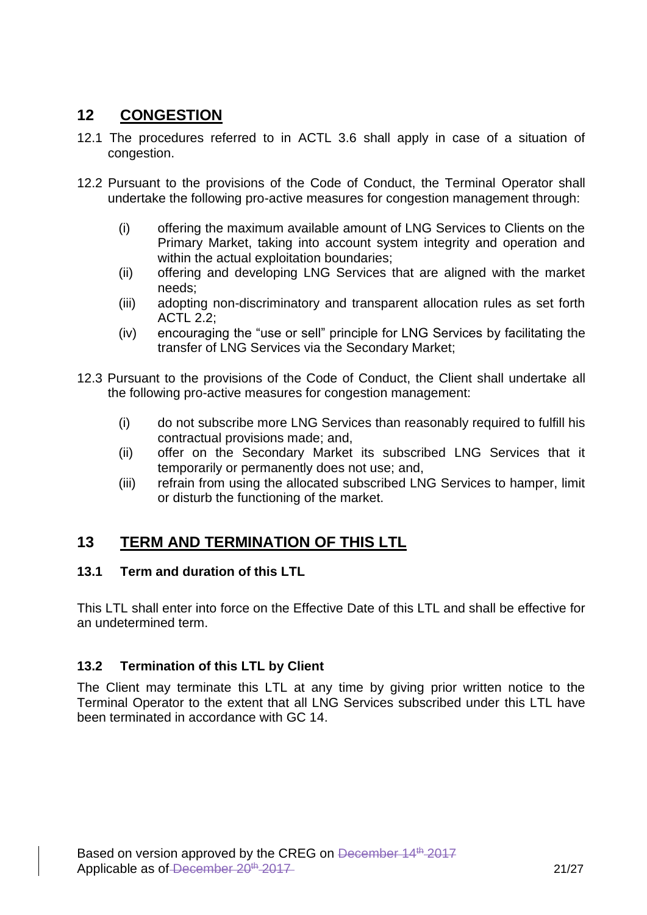## **12 CONGESTION**

- 12.1 The procedures referred to in ACTL 3.6 shall apply in case of a situation of congestion.
- 12.2 Pursuant to the provisions of the Code of Conduct, the Terminal Operator shall undertake the following pro-active measures for congestion management through:
	- (i) offering the maximum available amount of LNG Services to Clients on the Primary Market, taking into account system integrity and operation and within the actual exploitation boundaries;
	- (ii) offering and developing LNG Services that are aligned with the market needs;
	- (iii) adopting non-discriminatory and transparent allocation rules as set forth ACTL 2.2;
	- (iv) encouraging the "use or sell" principle for LNG Services by facilitating the transfer of LNG Services via the Secondary Market;
- 12.3 Pursuant to the provisions of the Code of Conduct, the Client shall undertake all the following pro-active measures for congestion management:
	- (i) do not subscribe more LNG Services than reasonably required to fulfill his contractual provisions made; and,
	- (ii) offer on the Secondary Market its subscribed LNG Services that it temporarily or permanently does not use; and,
	- (iii) refrain from using the allocated subscribed LNG Services to hamper, limit or disturb the functioning of the market.

# **13 TERM AND TERMINATION OF THIS LTL**

#### **13.1 Term and duration of this LTL**

This LTL shall enter into force on the Effective Date of this LTL and shall be effective for an undetermined term.

#### **13.2 Termination of this LTL by Client**

The Client may terminate this LTL at any time by giving prior written notice to the Terminal Operator to the extent that all LNG Services subscribed under this LTL have been terminated in accordance with GC 14.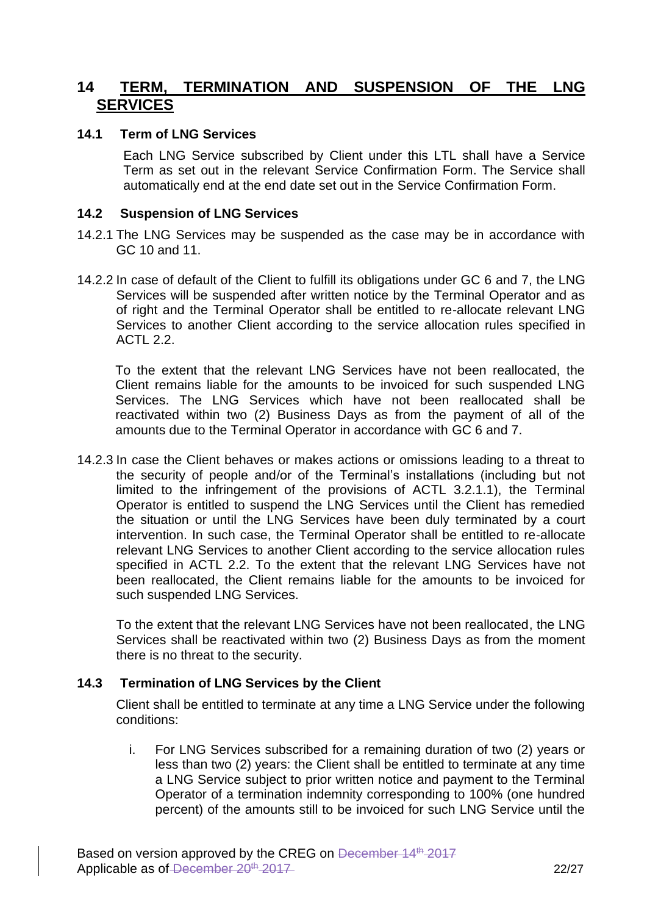### **14 TERM, TERMINATION AND SUSPENSION OF THE LNG SERVICES**

#### **14.1 Term of LNG Services**

Each LNG Service subscribed by Client under this LTL shall have a Service Term as set out in the relevant Service Confirmation Form. The Service shall automatically end at the end date set out in the Service Confirmation Form.

#### **14.2 Suspension of LNG Services**

- 14.2.1 The LNG Services may be suspended as the case may be in accordance with GC 10 and 11.
- 14.2.2 In case of default of the Client to fulfill its obligations under GC 6 and 7, the LNG Services will be suspended after written notice by the Terminal Operator and as of right and the Terminal Operator shall be entitled to re-allocate relevant LNG Services to another Client according to the service allocation rules specified in ACTL 2.2.

To the extent that the relevant LNG Services have not been reallocated, the Client remains liable for the amounts to be invoiced for such suspended LNG Services. The LNG Services which have not been reallocated shall be reactivated within two (2) Business Days as from the payment of all of the amounts due to the Terminal Operator in accordance with GC 6 and 7.

14.2.3 In case the Client behaves or makes actions or omissions leading to a threat to the security of people and/or of the Terminal's installations (including but not limited to the infringement of the provisions of ACTL 3.2.1.1), the Terminal Operator is entitled to suspend the LNG Services until the Client has remedied the situation or until the LNG Services have been duly terminated by a court intervention. In such case, the Terminal Operator shall be entitled to re-allocate relevant LNG Services to another Client according to the service allocation rules specified in ACTL 2.2. To the extent that the relevant LNG Services have not been reallocated, the Client remains liable for the amounts to be invoiced for such suspended LNG Services.

To the extent that the relevant LNG Services have not been reallocated, the LNG Services shall be reactivated within two (2) Business Days as from the moment there is no threat to the security.

#### **14.3 Termination of LNG Services by the Client**

Client shall be entitled to terminate at any time a LNG Service under the following conditions:

i. For LNG Services subscribed for a remaining duration of two (2) years or less than two (2) years: the Client shall be entitled to terminate at any time a LNG Service subject to prior written notice and payment to the Terminal Operator of a termination indemnity corresponding to 100% (one hundred percent) of the amounts still to be invoiced for such LNG Service until the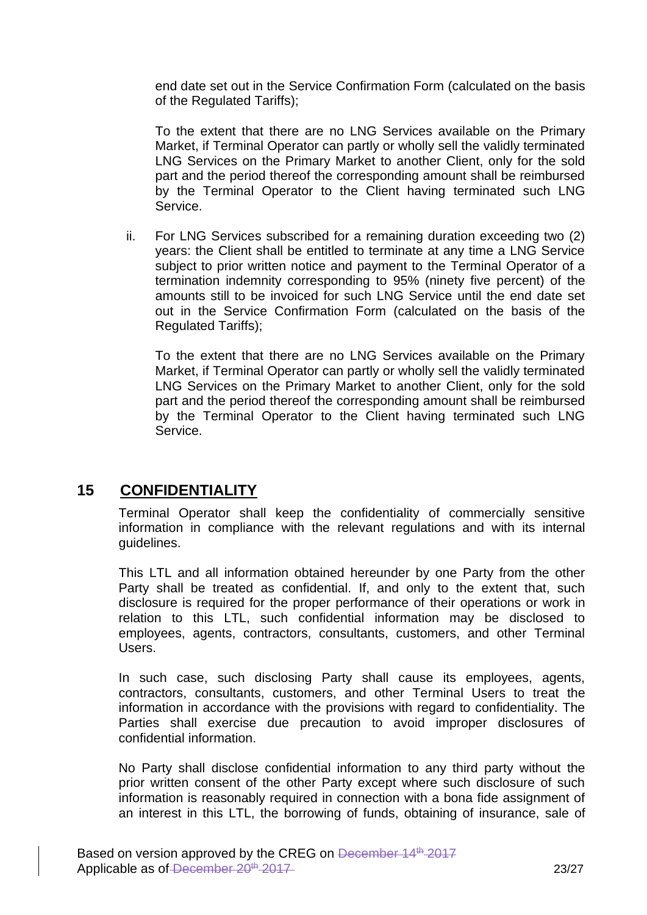end date set out in the Service Confirmation Form (calculated on the basis of the Regulated Tariffs);

To the extent that there are no LNG Services available on the Primary Market, if Terminal Operator can partly or wholly sell the validly terminated LNG Services on the Primary Market to another Client, only for the sold part and the period thereof the corresponding amount shall be reimbursed by the Terminal Operator to the Client having terminated such LNG Service.

ii. For LNG Services subscribed for a remaining duration exceeding two (2) years: the Client shall be entitled to terminate at any time a LNG Service subject to prior written notice and payment to the Terminal Operator of a termination indemnity corresponding to 95% (ninety five percent) of the amounts still to be invoiced for such LNG Service until the end date set out in the Service Confirmation Form (calculated on the basis of the Regulated Tariffs);

To the extent that there are no LNG Services available on the Primary Market, if Terminal Operator can partly or wholly sell the validly terminated LNG Services on the Primary Market to another Client, only for the sold part and the period thereof the corresponding amount shall be reimbursed by the Terminal Operator to the Client having terminated such LNG Service.

# **15 CONFIDENTIALITY**

Terminal Operator shall keep the confidentiality of commercially sensitive information in compliance with the relevant regulations and with its internal guidelines.

This LTL and all information obtained hereunder by one Party from the other Party shall be treated as confidential. If, and only to the extent that, such disclosure is required for the proper performance of their operations or work in relation to this LTL, such confidential information may be disclosed to employees, agents, contractors, consultants, customers, and other Terminal Users.

In such case, such disclosing Party shall cause its employees, agents, contractors, consultants, customers, and other Terminal Users to treat the information in accordance with the provisions with regard to confidentiality. The Parties shall exercise due precaution to avoid improper disclosures of confidential information.

No Party shall disclose confidential information to any third party without the prior written consent of the other Party except where such disclosure of such information is reasonably required in connection with a bona fide assignment of an interest in this LTL, the borrowing of funds, obtaining of insurance, sale of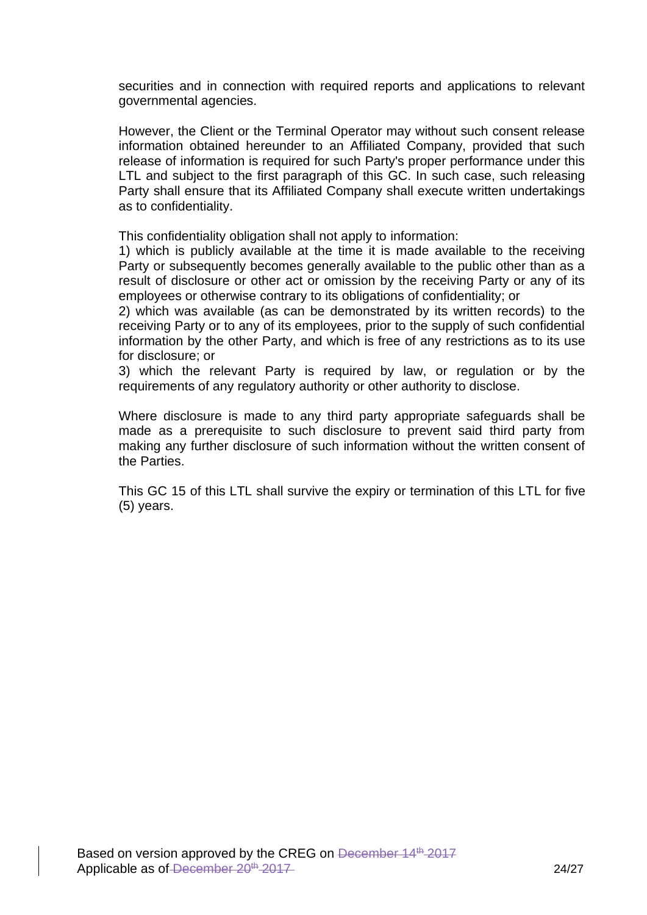securities and in connection with required reports and applications to relevant governmental agencies.

However, the Client or the Terminal Operator may without such consent release information obtained hereunder to an Affiliated Company, provided that such release of information is required for such Party's proper performance under this LTL and subject to the first paragraph of this GC. In such case, such releasing Party shall ensure that its Affiliated Company shall execute written undertakings as to confidentiality.

This confidentiality obligation shall not apply to information:

1) which is publicly available at the time it is made available to the receiving Party or subsequently becomes generally available to the public other than as a result of disclosure or other act or omission by the receiving Party or any of its employees or otherwise contrary to its obligations of confidentiality; or

2) which was available (as can be demonstrated by its written records) to the receiving Party or to any of its employees, prior to the supply of such confidential information by the other Party, and which is free of any restrictions as to its use for disclosure; or

3) which the relevant Party is required by law, or regulation or by the requirements of any regulatory authority or other authority to disclose.

Where disclosure is made to any third party appropriate safeguards shall be made as a prerequisite to such disclosure to prevent said third party from making any further disclosure of such information without the written consent of the Parties.

This GC 15 of this LTL shall survive the expiry or termination of this LTL for five (5) years.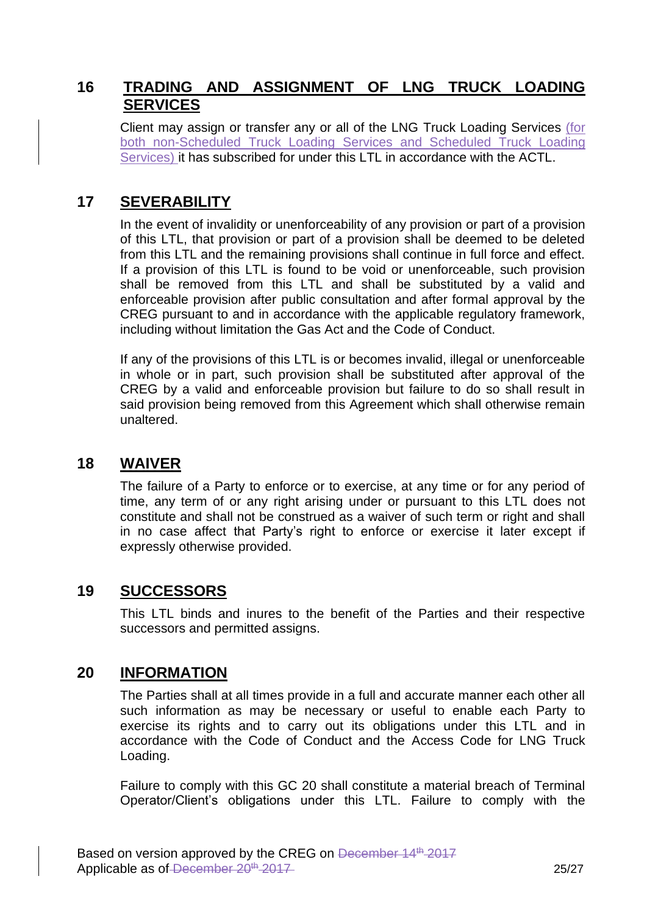### **16 TRADING AND ASSIGNMENT OF LNG TRUCK LOADING SERVICES**

Client may assign or transfer any or all of the LNG Truck Loading Services (for both non-Scheduled Truck Loading Services and Scheduled Truck Loading Services) it has subscribed for under this LTL in accordance with the ACTL.

## **17 SEVERABILITY**

In the event of invalidity or unenforceability of any provision or part of a provision of this LTL, that provision or part of a provision shall be deemed to be deleted from this LTL and the remaining provisions shall continue in full force and effect. If a provision of this LTL is found to be void or unenforceable, such provision shall be removed from this LTL and shall be substituted by a valid and enforceable provision after public consultation and after formal approval by the CREG pursuant to and in accordance with the applicable regulatory framework, including without limitation the Gas Act and the Code of Conduct.

If any of the provisions of this LTL is or becomes invalid, illegal or unenforceable in whole or in part, such provision shall be substituted after approval of the CREG by a valid and enforceable provision but failure to do so shall result in said provision being removed from this Agreement which shall otherwise remain unaltered.

### **18 WAIVER**

The failure of a Party to enforce or to exercise, at any time or for any period of time, any term of or any right arising under or pursuant to this LTL does not constitute and shall not be construed as a waiver of such term or right and shall in no case affect that Party's right to enforce or exercise it later except if expressly otherwise provided.

### **19 SUCCESSORS**

This LTL binds and inures to the benefit of the Parties and their respective successors and permitted assigns.

### **20 INFORMATION**

The Parties shall at all times provide in a full and accurate manner each other all such information as may be necessary or useful to enable each Party to exercise its rights and to carry out its obligations under this LTL and in accordance with the Code of Conduct and the Access Code for LNG Truck Loading.

Failure to comply with this GC 20 shall constitute a material breach of Terminal Operator/Client's obligations under this LTL. Failure to comply with the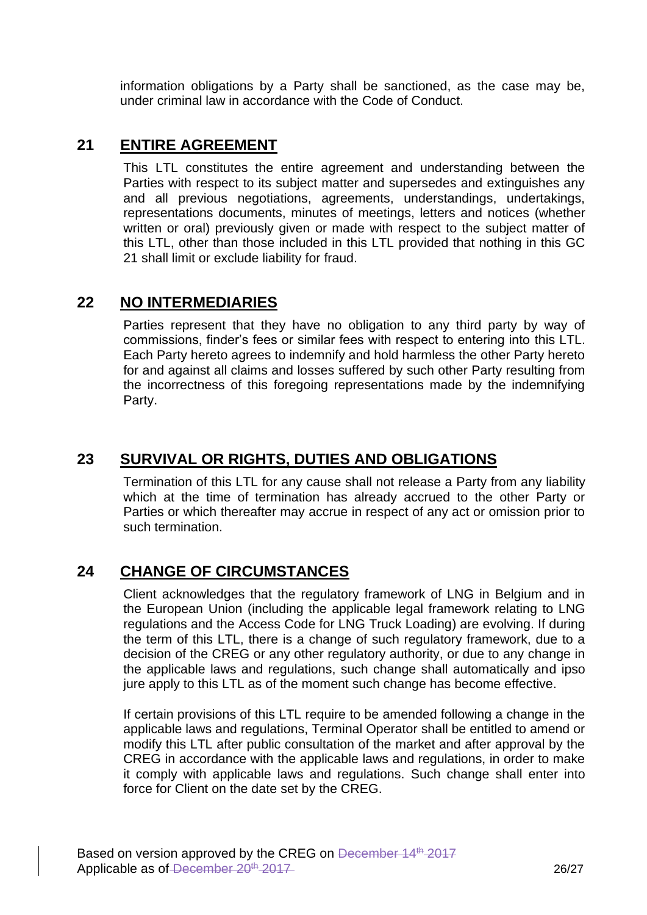information obligations by a Party shall be sanctioned, as the case may be, under criminal law in accordance with the Code of Conduct.

## **21 ENTIRE AGREEMENT**

This LTL constitutes the entire agreement and understanding between the Parties with respect to its subject matter and supersedes and extinguishes any and all previous negotiations, agreements, understandings, undertakings, representations documents, minutes of meetings, letters and notices (whether written or oral) previously given or made with respect to the subject matter of this LTL, other than those included in this LTL provided that nothing in this GC 21 shall limit or exclude liability for fraud.

### **22 NO INTERMEDIARIES**

Parties represent that they have no obligation to any third party by way of commissions, finder's fees or similar fees with respect to entering into this LTL. Each Party hereto agrees to indemnify and hold harmless the other Party hereto for and against all claims and losses suffered by such other Party resulting from the incorrectness of this foregoing representations made by the indemnifying Party.

## **23 SURVIVAL OR RIGHTS, DUTIES AND OBLIGATIONS**

Termination of this LTL for any cause shall not release a Party from any liability which at the time of termination has already accrued to the other Party or Parties or which thereafter may accrue in respect of any act or omission prior to such termination.

## **24 CHANGE OF CIRCUMSTANCES**

Client acknowledges that the regulatory framework of LNG in Belgium and in the European Union (including the applicable legal framework relating to LNG regulations and the Access Code for LNG Truck Loading) are evolving. If during the term of this LTL, there is a change of such regulatory framework, due to a decision of the CREG or any other regulatory authority, or due to any change in the applicable laws and regulations, such change shall automatically and ipso jure apply to this LTL as of the moment such change has become effective.

If certain provisions of this LTL require to be amended following a change in the applicable laws and regulations, Terminal Operator shall be entitled to amend or modify this LTL after public consultation of the market and after approval by the CREG in accordance with the applicable laws and regulations, in order to make it comply with applicable laws and regulations. Such change shall enter into force for Client on the date set by the CREG.